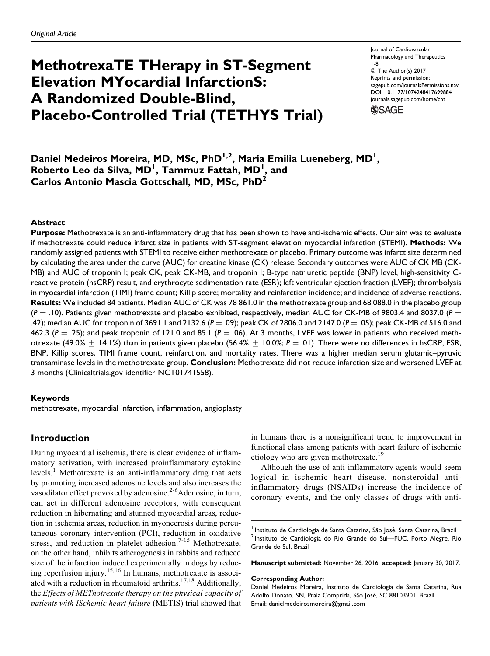# MethotrexaTE THerapy in ST-Segment Elevation MYocardial InfarctionS: A Randomized Double-Blind, Placebo-Controlled Trial (TETHYS Trial)

Journal of Cardiovascular Pharmacology and Therapeutics 1-8 © The Author(s) 2017 Reprints and permission: [sagepub.com/journalsPermissions.nav](https://us.sagepub.com/en-us/journals-permissions) [DOI: 10.1177/1074248417699884](https://doi.org/10.1177/1074248417699884) [journals.sagepub.com/home/cpt](http://journals.sagepub.com/home/cpt)

**SSAGE** 

Daniel Medeiros Moreira, MD, MSc, PhD<sup>1,2</sup>, Maria Emilia Lueneberg, MD<sup>1</sup>, Roberto Leo da Silva, MD<sup>I</sup>, Tammuz Fattah, MD<sup>I</sup>, and Carlos Antonio Mascia Gottschall, MD, MSc, PhD<sup>2</sup>

## Abstract

Purpose: Methotrexate is an anti-inflammatory drug that has been shown to have anti-ischemic effects. Our aim was to evaluate if methotrexate could reduce infarct size in patients with ST-segment elevation myocardial infarction (STEMI). Methods: We randomly assigned patients with STEMI to receive either methotrexate or placebo. Primary outcome was infarct size determined by calculating the area under the curve (AUC) for creatine kinase (CK) release. Secondary outcomes were AUC of CK MB (CK-MB) and AUC of troponin I; peak CK, peak CK-MB, and troponin I; B-type natriuretic peptide (BNP) level, high-sensitivity Creactive protein (hsCRP) result, and erythrocyte sedimentation rate (ESR); left ventricular ejection fraction (LVEF); thrombolysis in myocardial infarction (TIMI) frame count; Killip score; mortality and reinfarction incidence; and incidence of adverse reactions. Results: We included 84 patients. Median AUC of CK was 78 861.0 in the methotrexate group and 68 088.0 in the placebo group  $(P = .10)$ . Patients given methotrexate and placebo exhibited, respectively, median AUC for CK-MB of 9803.4 and 8037.0 ( $P =$ .42); median AUC for troponin of 3691.1 and 2132.6 (P = .09); peak CK of 2806.0 and 2147.0 (P = .05); peak CK-MB of 516.0 and 462.3 ( $P = .25$ ); and peak troponin of 121.0 and 85.1 ( $P = .06$ ). At 3 months, LVEF was lower in patients who received methotrexate (49.0%  $\pm$  14.1%) than in patients given placebo (56.4%  $\pm$  10.0%; P = .01). There were no differences in hsCRP, ESR, BNP, Killip scores, TIMI frame count, reinfarction, and mortality rates. There was a higher median serum glutamic–pyruvic transaminase levels in the methotrexate group. Conclusion: Methotrexate did not reduce infarction size and worsened LVEF at 3 months (Clinicaltrials.gov identifier NCT01741558).

## Keywords

methotrexate, myocardial infarction, inflammation, angioplasty

# Introduction

During myocardial ischemia, there is clear evidence of inflammatory activation, with increased proinflammatory cytokine levels.<sup>1</sup> Methotrexate is an anti-inflammatory drug that acts by promoting increased adenosine levels and also increases the vasodilator effect provoked by adenosine.<sup>2-6</sup>Adenosine, in turn, can act in different adenosine receptors, with consequent reduction in hibernating and stunned myocardial areas, reduction in ischemia areas, reduction in myonecrosis during percutaneous coronary intervention (PCI), reduction in oxidative stress, and reduction in platelet adhesion.<sup>7-15</sup> Methotrexate, on the other hand, inhibits atherogenesis in rabbits and reduced size of the infarction induced experimentally in dogs by reducing reperfusion injury.15,16 In humans, methotrexate is associated with a reduction in rheumatoid arthritis.<sup>17,18</sup> Additionally, the Effects of METhotrexate therapy on the physical capacity of patients with ISchemic heart failure (METIS) trial showed that

in humans there is a nonsignificant trend to improvement in functional class among patients with heart failure of ischemic etiology who are given methotrexate.<sup>19</sup>

Although the use of anti-inflammatory agents would seem logical in ischemic heart disease, nonsteroidal antiinflammatory drugs (NSAIDs) increase the incidence of coronary events, and the only classes of drugs with anti-

Manuscript submitted: November 26, 2016; accepted: January 30, 2017.

## Corresponding Author:

<sup>&</sup>lt;sup>1</sup> Instituto de Cardiologia de Santa Catarina, São José, Santa Catarina, Brazil<br><sup>2</sup> Instituto de Cardiologia do Rio Grande do Sul—FUC, Porto Alegre, Rio Grande do Sul, Brazil

Daniel Medeiros Moreira, Instituto de Cardiologia de Santa Catarina, Rua Adolfo Donato, SN, Praia Comprida, São José, SC 88103901, Brazil. Email: danielmedeirosmoreira@gmail.com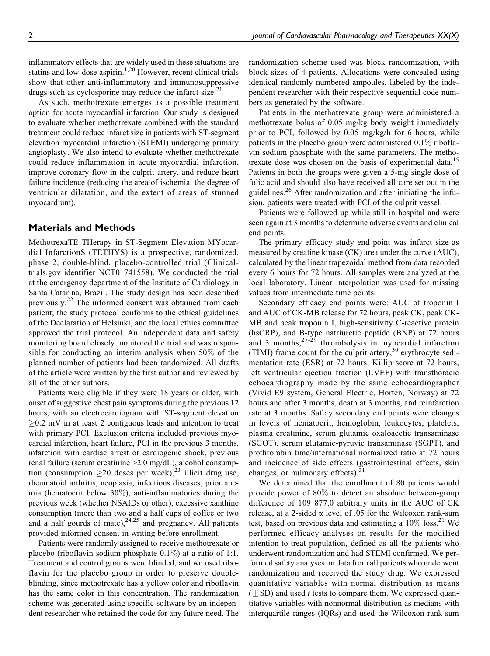inflammatory effects that are widely used in these situations are statins and low-dose aspirin.<sup>1,20</sup> However, recent clinical trials show that other anti-inflammatory and immunosuppressive drugs such as cyclosporine may reduce the infarct size. $2<sup>1</sup>$ 

As such, methotrexate emerges as a possible treatment option for acute myocardial infarction. Our study is designed to evaluate whether methotrexate combined with the standard treatment could reduce infarct size in patients with ST-segment elevation myocardial infarction (STEMI) undergoing primary angioplasty. We also intend to evaluate whether methotrexate could reduce inflammation in acute myocardial infarction, improve coronary flow in the culprit artery, and reduce heart failure incidence (reducing the area of ischemia, the degree of ventricular dilatation, and the extent of areas of stunned myocardium).

## Materials and Methods

MethotrexaTE THerapy in ST-Segment Elevation MYocardial InfarctionS (TETHYS) is a prospective, randomized, phase 2, double-blind, placebo-controlled trial (Clinicaltrials.gov identifier NCT01741558). We conducted the trial at the emergency department of the Institute of Cardiology in Santa Catarina, Brazil. The study design has been described previously.<sup>22</sup> The informed consent was obtained from each patient; the study protocol conforms to the ethical guidelines of the Declaration of Helsinki, and the local ethics committee approved the trial protocol. An independent data and safety monitoring board closely monitored the trial and was responsible for conducting an interim analysis when 50% of the planned number of patients had been randomized. All drafts of the article were written by the first author and reviewed by all of the other authors.

Patients were eligible if they were 18 years or older, with onset of suggestive chest pain symptoms during the previous 12 hours, with an electrocardiogram with ST-segment elevation  $\geq$ 0.2 mV in at least 2 contiguous leads and intention to treat with primary PCI. Exclusion criteria included previous myocardial infarction, heart failure, PCI in the previous 3 months, infarction with cardiac arrest or cardiogenic shock, previous renal failure (serum creatinine >2.0 mg/dL), alcohol consumption (consumption  $\geq$ 20 doses per week),<sup>23</sup> illicit drug use, rheumatoid arthritis, neoplasia, infectious diseases, prior anemia (hematocrit below 30%), anti-inflammatories during the previous week (whether NSAIDs or other), excessive xanthine consumption (more than two and a half cups of coffee or two and a half gourds of mate), $24,25$  and pregnancy. All patients provided informed consent in writing before enrollment.

Patients were randomly assigned to receive methotrexate or placebo (riboflavin sodium phosphate  $0.1\%$ ) at a ratio of 1:1. Treatment and control groups were blinded, and we used riboflavin for the placebo group in order to preserve doubleblinding, since methotrexate has a yellow color and riboflavin has the same color in this concentration. The randomization scheme was generated using specific software by an independent researcher who retained the code for any future need. The

randomization scheme used was block randomization, with block sizes of 4 patients. Allocations were concealed using identical randomly numbered ampoules, labeled by the independent researcher with their respective sequential code numbers as generated by the software.

Patients in the methotrexate group were administered a methotrexate bolus of 0.05 mg/kg body weight immediately prior to PCI, followed by 0.05 mg/kg/h for 6 hours, while patients in the placebo group were administered 0.1% riboflavin sodium phosphate with the same parameters. The methotrexate dose was chosen on the basis of experimental data.<sup>15</sup> Patients in both the groups were given a 5-mg single dose of folic acid and should also have received all care set out in the guidelines.<sup>26</sup> After randomization and after initiating the infusion, patients were treated with PCI of the culprit vessel.

Patients were followed up while still in hospital and were seen again at 3 months to determine adverse events and clinical end points.

The primary efficacy study end point was infarct size as measured by creatine kinase (CK) area under the curve (AUC), calculated by the linear trapezoidal method from data recorded every 6 hours for 72 hours. All samples were analyzed at the local laboratory. Linear interpolation was used for missing values from intermediate time points.

Secondary efficacy end points were: AUC of troponin I and AUC of CK-MB release for 72 hours, peak CK, peak CK-MB and peak troponin I, high-sensitivity C-reactive protein (hsCRP), and B-type natriuretic peptide (BNP) at 72 hours and 3 months,  $27-29$  thrombolysis in myocardial infarction (TIMI) frame count for the culprit artery,<sup>30</sup> erythrocyte sedimentation rate (ESR) at 72 hours, Killip score at 72 hours, left ventricular ejection fraction (LVEF) with transthoracic echocardiography made by the same echocardiographer (Vivid E9 system, General Electric, Horten, Norway) at 72 hours and after 3 months, death at 3 months, and reinfarction rate at 3 months. Safety secondary end points were changes in levels of hematocrit, hemoglobin, leukocytes, platelets, plasma creatinine, serum glutamic oxaloacetic transaminase (SGOT), serum glutamic-pyruvic transaminase (SGPT), and prothrombin time/international normalized ratio at 72 hours and incidence of side effects (gastrointestinal effects, skin changes, or pulmonary effects). $3$ 

We determined that the enrollment of 80 patients would provide power of 80% to detect an absolute between-group difference of 109 877.0 arbitrary units in the AUC of CK release, at a 2-sided  $\alpha$  level of .05 for the Wilcoxon rank-sum test, based on previous data and estimating a  $10\%$  loss.<sup>21</sup> We performed efficacy analyses on results for the modified intention-to-treat population, defined as all the patients who underwent randomization and had STEMI confirmed. We performed safety analyses on data from all patients who underwent randomization and received the study drug. We expressed quantitative variables with normal distribution as means  $(\pm SD)$  and used t tests to compare them. We expressed quantitative variables with nonnormal distribution as medians with interquartile ranges (IQRs) and used the Wilcoxon rank-sum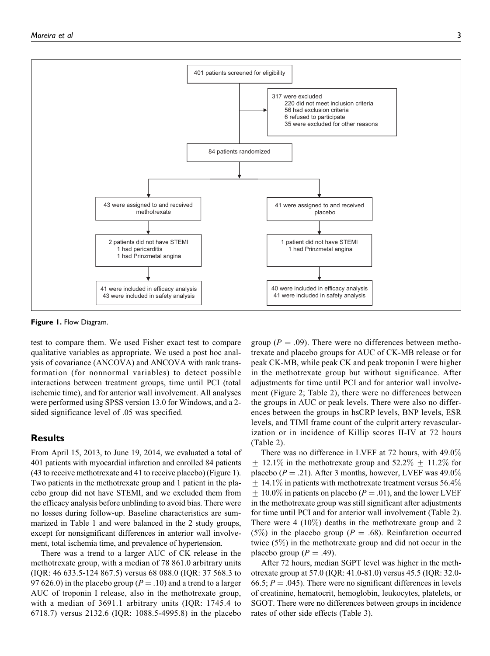

Figure 1. Flow Diagram.

test to compare them. We used Fisher exact test to compare qualitative variables as appropriate. We used a post hoc analysis of covariance (ANCOVA) and ANCOVA with rank transformation (for nonnormal variables) to detect possible interactions between treatment groups, time until PCI (total ischemic time), and for anterior wall involvement. All analyses were performed using SPSS version 13.0 for Windows, and a 2 sided significance level of .05 was specified.

## Results

From April 15, 2013, to June 19, 2014, we evaluated a total of 401 patients with myocardial infarction and enrolled 84 patients (43 to receive methotrexate and 41 to receive placebo) (Figure 1). Two patients in the methotrexate group and 1 patient in the placebo group did not have STEMI, and we excluded them from the efficacy analysis before unblinding to avoid bias. There were no losses during follow-up. Baseline characteristics are summarized in Table 1 and were balanced in the 2 study groups, except for nonsignificant differences in anterior wall involvement, total ischemia time, and prevalence of hypertension.

There was a trend to a larger AUC of CK release in the methotrexate group, with a median of 78 861.0 arbitrary units (IQR: 46 633.5-124 867.5) versus 68 088.0 (IQR: 37 568.3 to 97 626.0) in the placebo group ( $P = .10$ ) and a trend to a larger AUC of troponin I release, also in the methotrexate group, with a median of 3691.1 arbitrary units (IQR: 1745.4 to 6718.7) versus 2132.6 (IQR: 1088.5-4995.8) in the placebo

group ( $P = .09$ ). There were no differences between methotrexate and placebo groups for AUC of CK-MB release or for peak CK-MB, while peak CK and peak troponin I were higher in the methotrexate group but without significance. After adjustments for time until PCI and for anterior wall involvement (Figure 2; Table 2), there were no differences between the groups in AUC or peak levels. There were also no differences between the groups in hsCRP levels, BNP levels, ESR levels, and TIMI frame count of the culprit artery revascularization or in incidence of Killip scores II-IV at 72 hours (Table 2).

There was no difference in LVEF at 72 hours, with 49.0%  $+$  12.1% in the methotrexate group and 52.2%  $+$  11.2% for placebo ( $P = .21$ ). After 3 months, however, LVEF was 49.0%  $\pm$  14.1% in patients with methotrexate treatment versus 56.4%  $\pm$  10.0% in patients on placebo (P = .01), and the lower LVEF in the methotrexate group was still significant after adjustments for time until PCI and for anterior wall involvement (Table 2). There were 4 (10%) deaths in the methotrexate group and 2 (5%) in the placebo group ( $P = .68$ ). Reinfarction occurred twice (5%) in the methotrexate group and did not occur in the placebo group ( $P = .49$ ).

After 72 hours, median SGPT level was higher in the methotrexate group at 57.0 (IQR: 41.0-81.0) versus 45.5 (IQR: 32.0- 66.5;  $P = .045$ ). There were no significant differences in levels of creatinine, hematocrit, hemoglobin, leukocytes, platelets, or SGOT. There were no differences between groups in incidence rates of other side effects (Table 3).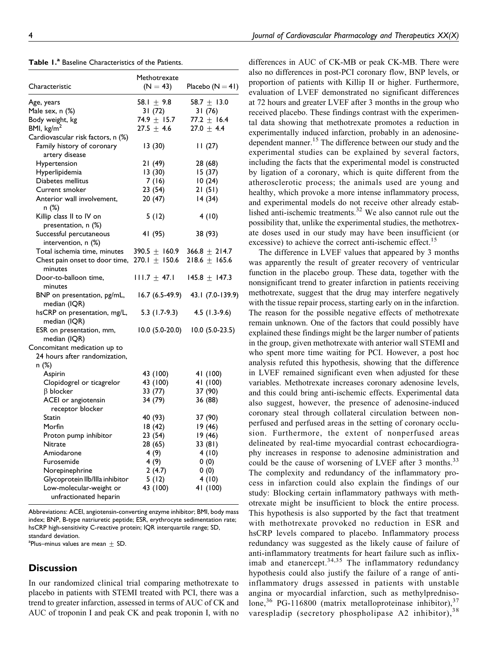|  |  |  | <b>Table 1.<sup>a</sup> Baseline Characteristics of the Patients.</b> |  |  |
|--|--|--|-----------------------------------------------------------------------|--|--|
|--|--|--|-----------------------------------------------------------------------|--|--|

|                                                             | Methotrexate      |                    |
|-------------------------------------------------------------|-------------------|--------------------|
| Characteristic                                              | $(N = 43)$        | Placebo $(N = 41)$ |
| Age, years                                                  | 58.1 $\pm$ 9.8    | 58.7 $\pm$ 13.0    |
| Male sex, n (%)                                             | 31(72)            | 31(76)             |
| Body weight, kg                                             | 74.9 $\pm$ 15.7   | 77.2 $\pm$ 16.4    |
| BMI, $\text{kg/m}^2$                                        | $27.5 + 4.6$      | $27.0 + 4.4$       |
| Cardiovascular risk factors, n (%)                          |                   |                    |
| Family history of coronary<br>artery disease                | 13(30)            | 11(27)             |
| Hypertension                                                | 21(49)            | 28 (68)            |
| Hyperlipidemia                                              | 13(30)            | 15(37)             |
| Diabetes mellitus                                           | 7(16)             | 10(24)             |
| Current smoker                                              | 23(54)            | 21(51)             |
| Anterior wall involvement,<br>n (%)                         | 20(47)            | 14(34)             |
| Killip class II to IV on<br>presentation, n (%)             | 5(12)             | 4(10)              |
| Successful percutaneous<br>intervention, n (%)              | 41 (95)           | 38 (93)            |
| Total ischemia time, minutes                                | 390.5 $\pm$ 160.9 | 366.8 $\pm$ 214.7  |
| Chest pain onset to door time, $270.1 \pm 150.6$<br>minutes |                   | $218.6 \pm 165.6$  |
| Door-to-balloon time,<br>minutes                            | $111.7 \pm 47.1$  | $145.8 \pm 147.3$  |
| BNP on presentation, pg/mL,<br>median (IQR)                 | 16.7 (6.5-49.9)   | 43.1 (7.0-139.9)   |
| hsCRP on presentation, mg/L,<br>median (IQR)                | $5.3(1.7-9.3)$    | $4.5$ (1.3-9.6)    |
| ESR on presentation, mm,<br>median (IQR)                    | 10.0 (5.0-20.0)   | $10.0 (5.0-23.5)$  |
| Concomitant medication up to                                |                   |                    |
| 24 hours after randomization,                               |                   |                    |
| n (%)                                                       |                   |                    |
| Aspirin                                                     | 43 (100)          | 41 (100)           |
| Clopidogrel or ticagrelor                                   | 43 (100)          | 41 (100)           |
| $\beta$ blocker                                             | 33 (77)           | 37 (90)            |
| ACEI or angiotensin                                         | 34 (79)           | 36 (88)            |
| receptor blocker                                            |                   |                    |
| Statin                                                      | 40 (93)           | 37 (90)            |
| Morfin                                                      | 18(42)            | 19 (46)            |
| Proton pump inhibitor                                       | 23(54)            | 19(46)             |
| Nitrate                                                     | 28(65)            | 33(81)             |
| Amiodarone                                                  | 4(9)              | 4(10)              |
| Furosemide                                                  | 4(9)              | 0(0)               |
| Norepinephrine                                              | 2(4.7)            | 0(0)               |
| Glycoprotein Ilb/Illa inhibitor                             | 5(12)             | 4(10)              |
| Low-molecular-weight or                                     | 43 (100)          | 41 (100)           |
| unfractionated heparin                                      |                   |                    |

Abbreviations: ACEI, angiotensin-converting enzyme inhibitor; BMI, body mass index; BNP, B-type natriuretic peptide; ESR, erythrocyte sedimentation rate; hsCRP high-sensitivity C-reactive protein; IQR interquartile range; SD, standard deviation.

 $^{\rm a}$ Plus–minus values are mean  $\pm$  SD.

# **Discussion**

In our randomized clinical trial comparing methotrexate to placebo in patients with STEMI treated with PCI, there was a trend to greater infarction, assessed in terms of AUC of CK and AUC of troponin I and peak CK and peak troponin I, with no

differences in AUC of CK-MB or peak CK-MB. There were also no differences in post-PCI coronary flow, BNP levels, or proportion of patients with Killip II or higher. Furthermore, evaluation of LVEF demonstrated no significant differences at 72 hours and greater LVEF after 3 months in the group who received placebo. These findings contrast with the experimental data showing that methotrexate promotes a reduction in experimentally induced infarction, probably in an adenosinedependent manner.<sup>15</sup> The difference between our study and the experimental studies can be explained by several factors, including the facts that the experimental model is constructed

by ligation of a coronary, which is quite different from the atherosclerotic process; the animals used are young and healthy, which provoke a more intense inflammatory process, and experimental models do not receive other already established anti-ischemic treatments. $32$  We also cannot rule out the possibility that, unlike the experimental studies, the methotrexate doses used in our study may have been insufficient (or excessive) to achieve the correct anti-ischemic effect.<sup>15</sup>

The difference in LVEF values that appeared by 3 months was apparently the result of greater recovery of ventricular function in the placebo group. These data, together with the nonsignificant trend to greater infarction in patients receiving methotrexate, suggest that the drug may interfere negatively with the tissue repair process, starting early on in the infarction. The reason for the possible negative effects of methotrexate remain unknown. One of the factors that could possibly have explained these findings might be the larger number of patients in the group, given methotrexate with anterior wall STEMI and who spent more time waiting for PCI. However, a post hoc analysis refuted this hypothesis, showing that the difference in LVEF remained significant even when adjusted for these variables. Methotrexate increases coronary adenosine levels, and this could bring anti-ischemic effects. Experimental data also suggest, however, the presence of adenosine-induced coronary steal through collateral circulation between nonperfused and perfused areas in the setting of coronary occlusion. Furthermore, the extent of nonperfused areas delineated by real-time myocardial contrast echocardiography increases in response to adenosine administration and could be the cause of worsening of LVEF after 3 months.<sup>33</sup> The complexity and redundancy of the inflammatory process in infarction could also explain the findings of our study: Blocking certain inflammatory pathways with methotrexate might be insufficient to block the entire process. This hypothesis is also supported by the fact that treatment with methotrexate provoked no reduction in ESR and hsCRP levels compared to placebo. Inflammatory process redundancy was suggested as the likely cause of failure of anti-inflammatory treatments for heart failure such as infliximab and etanercept. $34,35$  The inflammatory redundancy hypothesis could also justify the failure of a range of antiinflammatory drugs assessed in patients with unstable angina or myocardial infarction, such as methylprednisolone,<sup>36</sup> PG-116800 (matrix metalloproteinase inhibitor), $37$ varespladip (secretory phospholipase A2 inhibitor), 38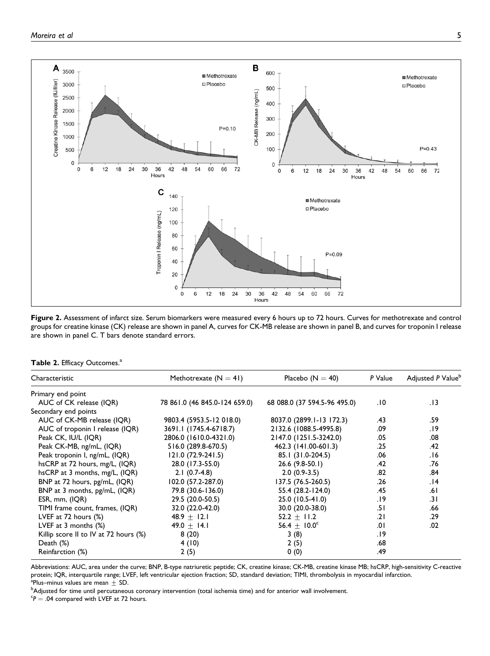

Figure 2. Assessment of infarct size. Serum biomarkers were measured every 6 hours up to 72 hours. Curves for methotrexate and control groups for creatine kinase (CK) release are shown in panel A, curves for CK-MB release are shown in panel B, and curves for troponin I release are shown in panel C. T bars denote standard errors.

| Table 2. Efficacy Outcomes. <sup>a</sup> |  |  |  |  |  |
|------------------------------------------|--|--|--|--|--|
|------------------------------------------|--|--|--|--|--|

| Characteristic                        | Methotrexate $(N = 41)$       | Placebo $(N = 40)$           | P Value | Adjusted P Value <sup>b</sup> |
|---------------------------------------|-------------------------------|------------------------------|---------|-------------------------------|
| Primary end point                     |                               |                              |         |                               |
| AUC of CK release (IQR)               | 78 861.0 (46 845.0-124 659.0) | 68 088.0 (37 594.5-96 495.0) | 0١.     | 13.                           |
| Secondary end points                  |                               |                              |         |                               |
| AUC of CK-MB release (IQR)            | 9803.4 (5953.5-12 018.0)      | 8037.0 (2899.1-13 172.3)     | .43     | .59                           |
| AUC of troponin I release (IQR)       | 3691.1 (1745.4-6718.7)        | 2132.6 (1088.5-4995.8)       | .09     | .19                           |
| Peak CK, IU/L (IQR)                   | 2806.0 (1610.0-4321.0)        | 2147.0 (1251.5-3242.0)       | .05     | .08                           |
| Peak CK-MB, ng/mL, (IQR)              | 516.0 (289.8-670.5)           | 462.3 (141.00-601.3)         | .25     | .42                           |
| Peak troponin I, ng/mL, (IQR)         | 121.0 (72.9-241.5)            | 85.1 (31.0-204.5)            | .06     | 16.                           |
| hsCRP at 72 hours, mg/L, (IQR)        | 28.0 (17.3-55.0)              | $26.6(9.8-50.1)$             | .42     | .76                           |
| hsCRP at 3 months, $mg/L$ , $IQR$ )   | $2.1(0.7-4.8)$                | $2.0(0.9-3.5)$               | .82     | .84                           |
| BNP at 72 hours, pg/mL, (IQR)         | 102.0 (57.2-287.0)            | 137.5 (76.5-260.5)           | .26     | 14.                           |
| BNP at 3 months, pg/mL, (IQR)         | 79.8 (30.6-136.0)             | 55.4 (28.2-124.0)            | .45     | .61                           |
| ESR, mm, (IQR)                        | 29.5 (20.0-50.5)              | 25.0 (10.5-41.0)             | 19.     | .31                           |
| TIMI frame count, frames, (IQR)       | 32.0 (22.0-42.0)              | 30.0 (20.0-38.0)             | 5۱.     | .66                           |
| LVEF at $72$ hours $(\%)$             | $48.9 + 12.1$                 | $52.2 + 11.2$                | .21     | .29                           |
| LVEF at $3$ months $(\%)$             | 49.0 $\pm$ 14.1               | $56.4 \pm 10.0^{\circ}$      | .0۱     | .02                           |
| Killip score II to IV at 72 hours (%) | 8(20)                         | 3(8)                         | 19.     |                               |
| Death $(\%)$                          | 4(10)                         | 2(5)                         | .68     |                               |
| Reinfarction (%)                      | 2(5)                          | 0(0)                         | .49     |                               |

Abbreviations: AUC, area under the curve; BNP, B-type natriuretic peptide; CK, creatine kinase; CK-MB, creatine kinase MB; hsCRP, high-sensitivity C-reactive protein; IQR, interquartile range; LVEF, left ventricular ejection fraction; SD, standard deviation; TIMI, thrombolysis in myocardial infarction. <sup>a</sup>Plus–minus values are mean  $\pm$  SD.

<sup>b</sup>Adjusted for time until percutaneous coronary intervention (total ischemia time) and for anterior wall involvement.

 ${}^cP = .04$  compared with LVEF at 72 hours.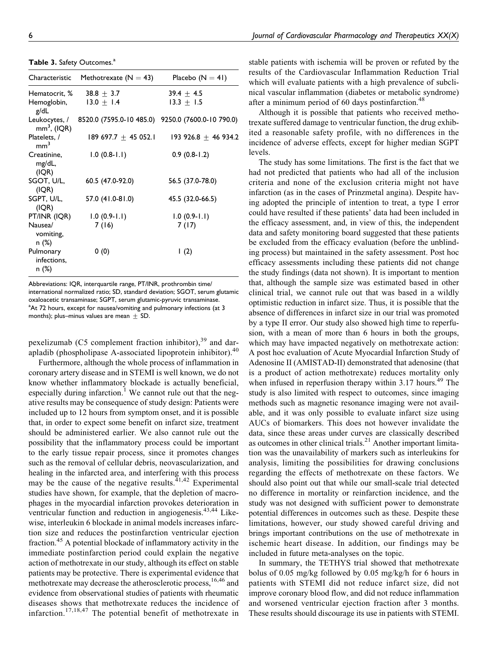Table 3. Safety Outcomes.<sup>a</sup>

| Characteristic                                              | Methotrexate ( $N = 43$ )                                       | Placebo $(N = 41)$           |
|-------------------------------------------------------------|-----------------------------------------------------------------|------------------------------|
| Hematocrit, $\%$ 38.8 $\pm$ 3.7<br>Hemoglobin, $13.0 + 1.4$ |                                                                 | $39.4 + 4.5$<br>$13.3 + 1.5$ |
| g/dL                                                        |                                                                 |                              |
| $mm3$ , (IQR)                                               | Leukocytes, / 8520.0 (7595.0-10 485.0) 9250.0 (7600.0-10 790.0) |                              |
| Platelets, /<br>mm <sup>3</sup>                             | $189697.7 + 45052.1$                                            | $193926.8 + 46934.2$         |
| Creatinine,<br>mg/dL,<br>(IQR)                              | $1.0(0.8-1.1)$                                                  | $0.9(0.8-1.2)$               |
| SGOT, U/L,<br>(IQR)                                         | 60.5 (47.0-92.0)                                                | 56.5 (37.0-78.0)             |
| SGPT, U/L,<br>(IQR)                                         | 57.0 (41.0-81.0)                                                | 45.5 (32.0-66.5)             |
| PT/INR (IQR)                                                | $1.0(0.9-1.1)$                                                  | $1.0(0.9-1.1)$               |
| Nausea/<br>vomiting,<br>n (%)                               | 7(16)                                                           | 7(17)                        |
| Pulmonary<br>infections,<br>n (%)                           | 0(0)                                                            | $\mathsf{I}$ (2)             |

Abbreviations: IQR, interquartile range, PT/INR, prothrombin time/ international normalized ratio; SD, standard deviation; SGOT, serum glutamic oxaloacetic transaminase; SGPT, serum glutamic-pyruvic transaminase. <sup>a</sup>At 72 hours, except for nausea/vomiting and pulmonary infections (at 3 months); plus–minus values are mean  $\pm$  SD.

pexelizumab (C5 complement fraction inhibitor), $39$  and darapladib (phospholipase A-associated lipoprotein inhibitor).<sup>40</sup>

Furthermore, although the whole process of inflammation in coronary artery disease and in STEMI is well known, we do not know whether inflammatory blockade is actually beneficial, especially during infarction.<sup>1</sup> We cannot rule out that the negative results may be consequence of study design: Patients were included up to 12 hours from symptom onset, and it is possible that, in order to expect some benefit on infarct size, treatment should be administered earlier. We also cannot rule out the possibility that the inflammatory process could be important to the early tissue repair process, since it promotes changes such as the removal of cellular debris, neovascularization, and healing in the infarcted area, and interfering with this process may be the cause of the negative results. $41,42$  Experimental studies have shown, for example, that the depletion of macrophages in the myocardial infarction provokes deterioration in ventricular function and reduction in angiogenesis.<sup>43,44</sup> Likewise, interleukin 6 blockade in animal models increases infarction size and reduces the postinfarction ventricular ejection fraction.<sup>45</sup> A potential blockade of inflammatory activity in the immediate postinfarction period could explain the negative action of methotrexate in our study, although its effect on stable patients may be protective. There is experimental evidence that methotrexate may decrease the atherosclerotic process, <sup>16,46</sup> and evidence from observational studies of patients with rheumatic diseases shows that methotrexate reduces the incidence of infarction.<sup>17,18,47</sup> The potential benefit of methotrexate in

stable patients with ischemia will be proven or refuted by the results of the Cardiovascular Inflammation Reduction Trial which will evaluate patients with a high prevalence of subclinical vascular inflammation (diabetes or metabolic syndrome) after a minimum period of 60 days postinfarction.<sup>48</sup>

Although it is possible that patients who received methotrexate suffered damage to ventricular function, the drug exhibited a reasonable safety profile, with no differences in the incidence of adverse effects, except for higher median SGPT levels.

The study has some limitations. The first is the fact that we had not predicted that patients who had all of the inclusion criteria and none of the exclusion criteria might not have infarction (as in the cases of Prinzmetal angina). Despite having adopted the principle of intention to treat, a type I error could have resulted if these patients' data had been included in the efficacy assessment, and, in view of this, the independent data and safety monitoring board suggested that these patients be excluded from the efficacy evaluation (before the unblinding process) but maintained in the safety assessment. Post hoc efficacy assessments including these patients did not change the study findings (data not shown). It is important to mention that, although the sample size was estimated based in other clinical trial, we cannot rule out that was based in a wildly optimistic reduction in infarct size. Thus, it is possible that the absence of differences in infarct size in our trial was promoted by a type II error. Our study also showed high time to reperfusion, with a mean of more than 6 hours in both the groups, which may have impacted negatively on methotrexate action: A post hoc evaluation of Acute Myocardial Infarction Study of Adenosine II (AMISTAD-II) demonstrated that adenosine (that is a product of action methotrexate) reduces mortality only when infused in reperfusion therapy within  $3.17$  hours.<sup>49</sup> The study is also limited with respect to outcomes, since imaging methods such as magnetic resonance imaging were not available, and it was only possible to evaluate infarct size using AUCs of biomarkers. This does not however invalidate the data, since these areas under curves are classically described as outcomes in other clinical trials. $^{21}$  Another important limitation was the unavailability of markers such as interleukins for analysis, limiting the possibilities for drawing conclusions regarding the effects of methotrexate on these factors. We should also point out that while our small-scale trial detected no difference in mortality or reinfarction incidence, and the study was not designed with sufficient power to demonstrate potential differences in outcomes such as these. Despite these limitations, however, our study showed careful driving and brings important contributions on the use of methotrexate in ischemic heart disease. In addition, our findings may be included in future meta-analyses on the topic.

In summary, the TETHYS trial showed that methotrexate bolus of 0.05 mg/kg followed by 0.05 mg/kg/h for 6 hours in patients with STEMI did not reduce infarct size, did not improve coronary blood flow, and did not reduce inflammation and worsened ventricular ejection fraction after 3 months. These results should discourage its use in patients with STEMI.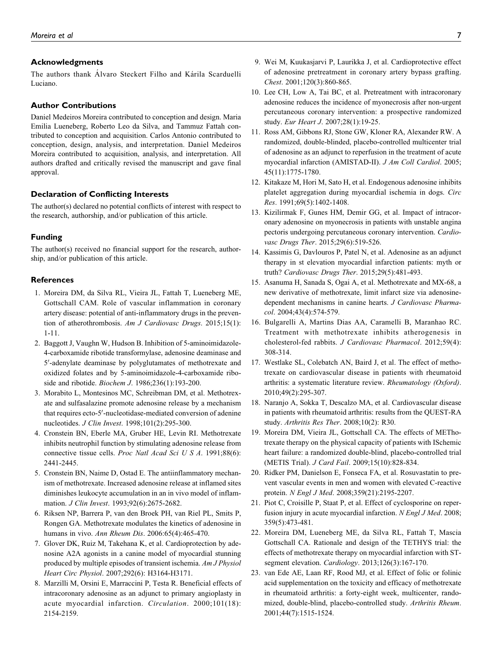## Acknowledgments

The authors thank Alvaro Steckert Filho and Kárila Scarduelli Luciano.

#### Author Contributions

Daniel Medeiros Moreira contributed to conception and design. Maria Emilia Lueneberg, Roberto Leo da Silva, and Tammuz Fattah contributed to conception and acquisition. Carlos Antonio contributed to conception, design, analysis, and interpretation. Daniel Medeiros Moreira contributed to acquisition, analysis, and interpretation. All authors drafted and critically revised the manuscript and gave final approval.

## Declaration of Conflicting Interests

The author(s) declared no potential conflicts of interest with respect to the research, authorship, and/or publication of this article.

#### Funding

The author(s) received no financial support for the research, authorship, and/or publication of this article.

#### **References**

- 1. Moreira DM, da Silva RL, Vieira JL, Fattah T, Lueneberg ME, Gottschall CAM. Role of vascular inflammation in coronary artery disease: potential of anti-inflammatory drugs in the prevention of atherothrombosis. Am J Cardiovasc Drugs. 2015;15(1): 1-11.
- 2. Baggott J, Vaughn W, Hudson B. Inhibition of 5-aminoimidazole-4-carboxamide ribotide transformylase, adenosine deaminase and 5'-adenylate deaminase by polyglutamates of methotrexate and oxidized folates and by 5-aminoimidazole-4-carboxamide riboside and ribotide. Biochem J. 1986;236(1):193-200.
- 3. Morabito L, Montesinos MC, Schreibman DM, et al. Methotrexate and sulfasalazine promote adenosine release by a mechanism that requires ecto-5'-nucleotidase-mediated conversion of adenine nucleotides. J Clin Invest. 1998;101(2):295-300.
- 4. Cronstein BN, Eberle MA, Gruber HE, Levin RI. Methotrexate inhibits neutrophil function by stimulating adenosine release from connective tissue cells. Proc Natl Acad Sci U S A. 1991;88(6): 2441-2445.
- 5. Cronstein BN, Naime D, Ostad E. The antiinflammatory mechanism of methotrexate. Increased adenosine release at inflamed sites diminishes leukocyte accumulation in an in vivo model of inflammation. J Clin Invest. 1993;92(6):2675-2682.
- 6. Riksen NP, Barrera P, van den Broek PH, van Riel PL, Smits P, Rongen GA. Methotrexate modulates the kinetics of adenosine in humans in vivo. Ann Rheum Dis. 2006:65(4):465-470.
- 7. Glover DK, Ruiz M, Takehana K, et al. Cardioprotection by adenosine A2A agonists in a canine model of myocardial stunning produced by multiple episodes of transient ischemia. Am J Physiol Heart Circ Physiol. 2007;292(6): H3164-H3171.
- 8. Marzilli M, Orsini E, Marraccini P, Testa R. Beneficial effects of intracoronary adenosine as an adjunct to primary angioplasty in acute myocardial infarction. Circulation. 2000;101(18): 2154-2159.
- 9. Wei M, Kuukasjarvi P, Laurikka J, et al. Cardioprotective effect of adenosine pretreatment in coronary artery bypass grafting. Chest. 2001;120(3):860-865.
- 10. Lee CH, Low A, Tai BC, et al. Pretreatment with intracoronary adenosine reduces the incidence of myonecrosis after non-urgent percutaneous coronary intervention: a prospective randomized study. Eur Heart J. 2007;28(1):19-25.
- 11. Ross AM, Gibbons RJ, Stone GW, Kloner RA, Alexander RW. A randomized, double-blinded, placebo-controlled multicenter trial of adenosine as an adjunct to reperfusion in the treatment of acute myocardial infarction (AMISTAD-II). J Am Coll Cardiol. 2005; 45(11):1775-1780.
- 12. Kitakaze M, Hori M, Sato H, et al. Endogenous adenosine inhibits platelet aggregation during myocardial ischemia in dogs. Circ Res. 1991;69(5):1402-1408.
- 13. Kizilirmak F, Gunes HM, Demir GG, et al. Impact of intracoronary adenosine on myonecrosis in patients with unstable angina pectoris undergoing percutaneous coronary intervention. Cardiovasc Drugs Ther. 2015;29(6):519-526.
- 14. Kassimis G, Davlouros P, Patel N, et al. Adenosine as an adjunct therapy in st elevation myocardial infarction patients: myth or truth? Cardiovasc Drugs Ther. 2015;29(5):481-493.
- 15. Asanuma H, Sanada S, Ogai A, et al. Methotrexate and MX-68, a new derivative of methotrexate, limit infarct size via adenosinedependent mechanisms in canine hearts. J Cardiovasc Pharmacol. 2004;43(4):574-579.
- 16. Bulgarelli A, Martins Dias AA, Caramelli B, Maranhao RC. Treatment with methotrexate inhibits atherogenesis in cholesterol-fed rabbits. J Cardiovasc Pharmacol. 2012;59(4): 308-314.
- 17. Westlake SL, Colebatch AN, Baird J, et al. The effect of methotrexate on cardiovascular disease in patients with rheumatoid arthritis: a systematic literature review. Rheumatology (Oxford). 2010;49(2):295-307.
- 18. Naranjo A, Sokka T, Descalzo MA, et al. Cardiovascular disease in patients with rheumatoid arthritis: results from the QUEST-RA study. Arthritis Res Ther. 2008;10(2): R30.
- 19. Moreira DM, Vieira JL, Gottschall CA. The effects of METhotrexate therapy on the physical capacity of patients with ISchemic heart failure: a randomized double-blind, placebo-controlled trial (METIS Trial). J Card Fail. 2009;15(10):828-834.
- 20. Ridker PM, Danielson E, Fonseca FA, et al. Rosuvastatin to prevent vascular events in men and women with elevated C-reactive protein. N Engl J Med. 2008;359(21):2195-2207.
- 21. Piot C, Croisille P, Staat P, et al. Effect of cyclosporine on reperfusion injury in acute myocardial infarction. N Engl J Med. 2008; 359(5):473-481.
- 22. Moreira DM, Lueneberg ME, da Silva RL, Fattah T, Mascia Gottschall CA. Rationale and design of the TETHYS trial: the effects of methotrexate therapy on myocardial infarction with STsegment elevation. Cardiology. 2013;126(3):167-170.
- 23. van Ede AE, Laan RF, Rood MJ, et al. Effect of folic or folinic acid supplementation on the toxicity and efficacy of methotrexate in rheumatoid arthritis: a forty-eight week, multicenter, randomized, double-blind, placebo-controlled study. Arthritis Rheum. 2001;44(7):1515-1524.